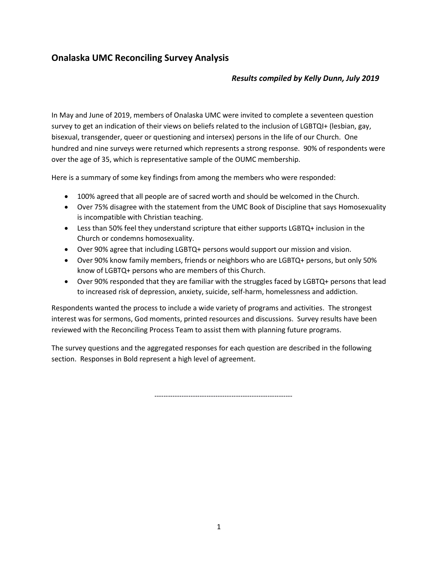# **Onalaska UMC Reconciling Survey Analysis**

# *Results compiled by Kelly Dunn, July 2019*

In May and June of 2019, members of Onalaska UMC were invited to complete a seventeen question survey to get an indication of their views on beliefs related to the inclusion of LGBTQI+ (lesbian, gay, bisexual, transgender, queer or questioning and intersex) persons in the life of our Church. One hundred and nine surveys were returned which represents a strong response. 90% of respondents were over the age of 35, which is representative sample of the OUMC membership.

Here is a summary of some key findings from among the members who were responded:

- 100% agreed that all people are of sacred worth and should be welcomed in the Church.
- Over 75% disagree with the statement from the UMC Book of Discipline that says Homosexuality is incompatible with Christian teaching.
- Less than 50% feel they understand scripture that either supports LGBTQ+ inclusion in the Church or condemns homosexuality.
- Over 90% agree that including LGBTQ+ persons would support our mission and vision.
- Over 90% know family members, friends or neighbors who are LGBTQ+ persons, but only 50% know of LGBTQ+ persons who are members of this Church.
- Over 90% responded that they are familiar with the struggles faced by LGBTQ+ persons that lead to increased risk of depression, anxiety, suicide, self-harm, homelessness and addiction.

Respondents wanted the process to include a wide variety of programs and activities. The strongest interest was for sermons, God moments, printed resources and discussions. Survey results have been reviewed with the Reconciling Process Team to assist them with planning future programs.

The survey questions and the aggregated responses for each question are described in the following section. Responses in Bold represent a high level of agreement.

-------------------------------------------------------------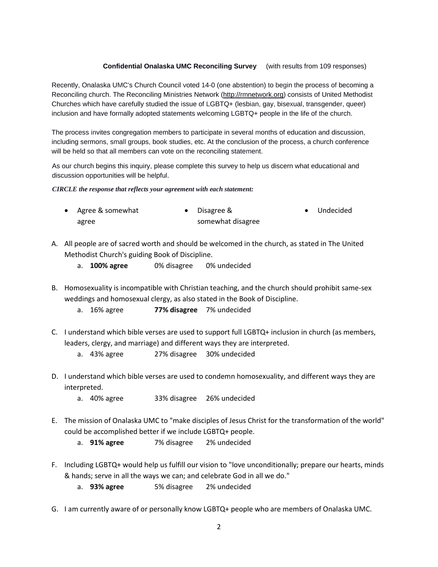## **Confidential Onalaska UMC Reconciling Survey** (with results from 109 responses)

Recently, Onalaska UMC's Church Council voted 14-0 (one abstention) to begin the process of becoming a Reconciling church. The Reconciling Ministries Network (http://rmnetwork.org) consists of United Methodist Churches which have carefully studied the issue of LGBTQ+ (lesbian, gay, bisexual, transgender, queer) inclusion and have formally adopted statements welcoming LGBTQ+ people in the life of the church.

The process invites congregation members to participate in several months of education and discussion, including sermons, small groups, book studies, etc. At the conclusion of the process, a church conference will be held so that all members can vote on the reconciling statement.

As our church begins this inquiry, please complete this survey to help us discern what educational and discussion opportunities will be helpful.

*CIRCLE the response that reflects your agreement with each statement:* 

| • Agree & somewhat | $\bullet$ Disagree & | • Undecided |
|--------------------|----------------------|-------------|
| agree              | somewhat disagree    |             |

- A. All people are of sacred worth and should be welcomed in the church, as stated in The United Methodist Church's guiding Book of Discipline.
	- a. **100% agree** 0% disagree 0% undecided
- B. Homosexuality is incompatible with Christian teaching, and the church should prohibit same-sex weddings and homosexual clergy, as also stated in the Book of Discipline.
	- a. 16% agree **77% disagree** 7% undecided
- C. I understand which bible verses are used to support full LGBTQ+ inclusion in church (as members, leaders, clergy, and marriage) and different ways they are interpreted.
	- a. 43% agree 27% disagree 30% undecided
- D. I understand which bible verses are used to condemn homosexuality, and different ways they are interpreted.
	- a. 40% agree 33% disagree 26% undecided
- E. The mission of Onalaska UMC to "make disciples of Jesus Christ for the transformation of the world" could be accomplished better if we include LGBTQ+ people.
	- a. **91% agree** 7% disagree 2% undecided
- F. Including LGBTQ+ would help us fulfill our vision to "love unconditionally; prepare our hearts, minds & hands; serve in all the ways we can; and celebrate God in all we do."
	- a. **93% agree** 5% disagree 2% undecided
- G. I am currently aware of or personally know LGBTQ+ people who are members of Onalaska UMC.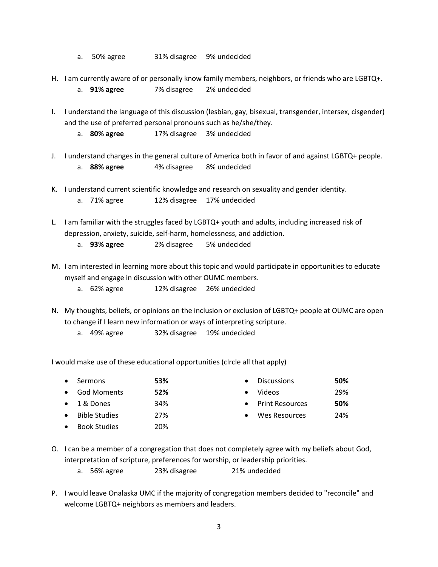- a. 50% agree 31% disagree 9% undecided
- H. I am currently aware of or personally know family members, neighbors, or friends who are LGBTQ+.
	- a. **91% agree** 7% disagree 2% undecided
- I. I understand the language of this discussion (lesbian, gay, bisexual, transgender, intersex, cisgender) and the use of preferred personal pronouns such as he/she/they.
	- a. **80% agree** 17% disagree 3% undecided
- J. I understand changes in the general culture of America both in favor of and against LGBTQ+ people. a. **88% agree** 4% disagree 8% undecided
- K. I understand current scientific knowledge and research on sexuality and gender identity.
	- a. 71% agree 12% disagree 17% undecided
- L. I am familiar with the struggles faced by LGBTQ+ youth and adults, including increased risk of depression, anxiety, suicide, self-harm, homelessness, and addiction.
	- a. **93% agree** 2% disagree 5% undecided
- M. I am interested in learning more about this topic and would participate in opportunities to educate myself and engage in discussion with other OUMC members.
	- a. 62% agree 12% disagree 26% undecided
- N. My thoughts, beliefs, or opinions on the inclusion or exclusion of LGBTQ+ people at OUMC are open to change if I learn new information or ways of interpreting scripture.
	- a. 49% agree 32% disagree 19% undecided

I would make use of these educational opportunities (clrcle all that apply)

| $\bullet$ | Sermons              | 53% |           | <b>Discussions</b>     | 50% |
|-----------|----------------------|-----|-----------|------------------------|-----|
| $\bullet$ | <b>God Moments</b>   | 52% |           | Videos                 | 29% |
|           | $\bullet$ 1 & Dones  | 34% | $\bullet$ | <b>Print Resources</b> | 50% |
| $\bullet$ | <b>Bible Studies</b> | 27% |           | Wes Resources          | 24% |
| $\bullet$ | <b>Book Studies</b>  | 20% |           |                        |     |

- O. I can be a member of a congregation that does not completely agree with my beliefs about God, interpretation of scripture, preferences for worship, or leadership priorities.
	- a. 56% agree 23% disagree 21% undecided
- P. I would leave Onalaska UMC if the majority of congregation members decided to "reconcile" and welcome LGBTQ+ neighbors as members and leaders.